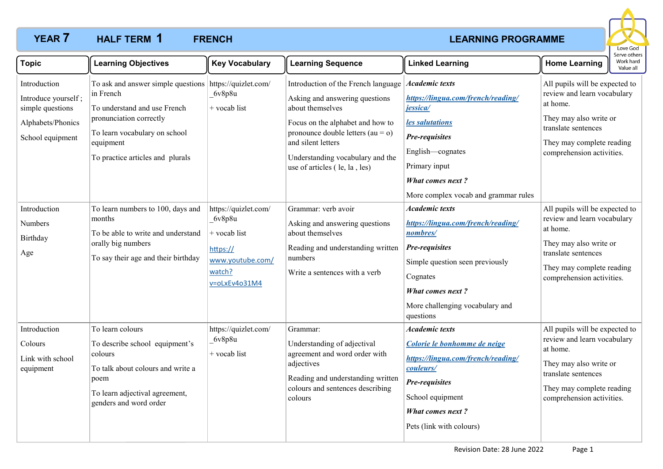## **YEAR 7 HALF TERM 1 FRENCH** *CONSUMER CONSUMER CONSUMER AND EXAMING PROGRAMME* **HALF TERM FRENCH 1**



| <b>Topic</b>                                                                                     | <b>Learning Objectives</b>                                                                                                                                                                                        | <b>Key Vocabulary</b>                                                                                       | <b>Learning Sequence</b>                                                                                                                                                                                                                                        | <b>Linked Learning</b>                                                                                                                                                                                                      | Work hard<br><b>Home Learning</b><br>Value all                                                                                                                                       |
|--------------------------------------------------------------------------------------------------|-------------------------------------------------------------------------------------------------------------------------------------------------------------------------------------------------------------------|-------------------------------------------------------------------------------------------------------------|-----------------------------------------------------------------------------------------------------------------------------------------------------------------------------------------------------------------------------------------------------------------|-----------------------------------------------------------------------------------------------------------------------------------------------------------------------------------------------------------------------------|--------------------------------------------------------------------------------------------------------------------------------------------------------------------------------------|
| Introduction<br>Introduce yourself;<br>simple questions<br>Alphabets/Phonics<br>School equipment | To ask and answer simple questions https://quizlet.com/<br>in French<br>To understand and use French<br>pronunciation correctly<br>To learn vocabulary on school<br>equipment<br>To practice articles and plurals | 6v8p8u<br>+ vocab list                                                                                      | Introduction of the French language<br>Asking and answering questions<br>about themselves<br>Focus on the alphabet and how to<br>pronounce double letters $(au = o)$<br>and silent letters<br>Understanding vocabulary and the<br>use of articles (le, la, les) | <b>Academic texts</b><br>https://lingua.com/french/reading/<br>jessica/<br>les salutations<br><b>Pre-requisites</b><br>English-cognates<br>Primary input<br><b>What comes next?</b><br>More complex vocab and grammar rules | All pupils will be expected to<br>review and learn vocabulary<br>at home.<br>They may also write or<br>translate sentences<br>They may complete reading<br>comprehension activities. |
| Introduction<br>Numbers<br>Birthday<br>Age                                                       | To learn numbers to 100, days and<br>months<br>To be able to write and understand<br>orally big numbers<br>To say their age and their birthday                                                                    | https://quizlet.com/<br>6v8p8u<br>$+$ vocab list<br>https://<br>www.youtube.com/<br>watch?<br>v=oLxEv4o31M4 | Grammar: verb avoir<br>Asking and answering questions<br>about themselves<br>Reading and understanding written<br>numbers<br>Write a sentences with a verb                                                                                                      | <b>Academic texts</b><br>https://lingua.com/french/reading/<br>nombres/<br>Pre-requisites<br>Simple question seen previously<br>Cognates<br><b>What comes next?</b><br>More challenging vocabulary and<br>questions         | All pupils will be expected to<br>review and learn vocabulary<br>at home.<br>They may also write or<br>translate sentences<br>They may complete reading<br>comprehension activities. |
| Introduction<br>Colours<br>Link with school<br>equipment                                         | To learn colours<br>To describe school equipment's<br>colours<br>To talk about colours and write a<br>poem<br>To learn adjectival agreement,<br>genders and word order                                            | https://quizlet.com/<br>6v8p8u<br>+ vocab list                                                              | Grammar:<br>Understanding of adjectival<br>agreement and word order with<br>adjectives<br>Reading and understanding written<br>colours and sentences describing<br>colours                                                                                      | <b>Academic texts</b><br>Colorie le bonhomme de neige<br>https://lingua.com/french/reading/<br>couleurs/<br>Pre-requisites<br>School equipment<br><b>What comes next?</b><br>Pets (link with colours)                       | All pupils will be expected to<br>review and learn vocabulary<br>at home.<br>They may also write or<br>translate sentences<br>They may complete reading<br>comprehension activities. |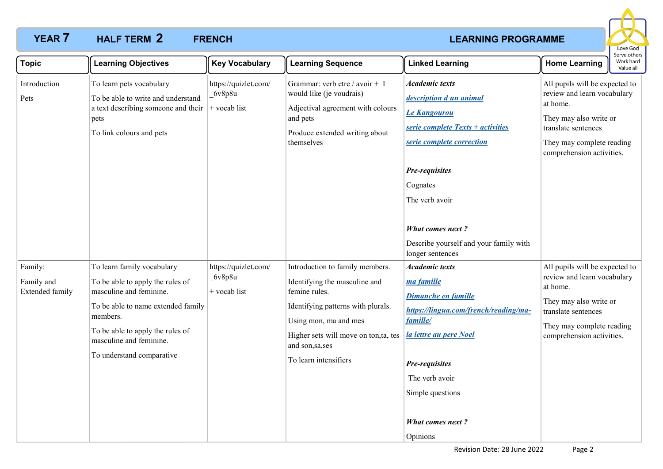## **YEAR 7 HALF TERM 2 FRENCH** *CONSUMER CONSUMER EXAMPLE AT A REARNING PROGRAMME* **HALF TERM FRENCH 2**



| <b>Topic</b>                                    | <b>Learning Objectives</b>                                                                                                                                                                                                              | <b>Key Vocabulary</b>                            | <b>Learning Sequence</b>                                                                                                                                                                                                              | <b>Linked Learning</b>                                                                                                                                                                                                                                       | <b>Home Learning</b>                                                                                                                                                                 | Work hard<br>Value all |
|-------------------------------------------------|-----------------------------------------------------------------------------------------------------------------------------------------------------------------------------------------------------------------------------------------|--------------------------------------------------|---------------------------------------------------------------------------------------------------------------------------------------------------------------------------------------------------------------------------------------|--------------------------------------------------------------------------------------------------------------------------------------------------------------------------------------------------------------------------------------------------------------|--------------------------------------------------------------------------------------------------------------------------------------------------------------------------------------|------------------------|
| Introduction<br>Pets                            | To learn pets vocabulary<br>To be able to write and understand<br>a text describing someone and their<br>pets<br>To link colours and pets                                                                                               | https://quizlet.com/<br>6v8p8u<br>$+$ vocab list | Grammar: verb etre / avoir + I<br>would like (je voudrais)<br>Adjectival agreement with colours<br>and pets<br>Produce extended writing about<br>themselves                                                                           | <b>Academic texts</b><br>description d un animal<br>Le Kangourou<br>serie complete Texts + activities<br>serie complete correction                                                                                                                           | All pupils will be expected to<br>review and learn vocabulary<br>at home.<br>They may also write or<br>translate sentences<br>They may complete reading<br>comprehension activities. |                        |
|                                                 |                                                                                                                                                                                                                                         |                                                  |                                                                                                                                                                                                                                       | Pre-requisites<br>Cognates<br>The verb avoir<br><b>What comes next?</b><br>Describe yourself and your family with                                                                                                                                            |                                                                                                                                                                                      |                        |
| Family:<br>Family and<br><b>Extended family</b> | To learn family vocabulary<br>To be able to apply the rules of<br>masculine and feminine.<br>To be able to name extended family<br>members.<br>To be able to apply the rules of<br>masculine and feminine.<br>To understand comparative | https://quizlet.com/<br>6v8p8u<br>$+$ vocab list | Introduction to family members.<br>Identifying the masculine and<br>femine rules.<br>Identifying patterns with plurals.<br>Using mon, ma and mes<br>Higher sets will move on ton,ta, tes<br>and son, sa, ses<br>To learn intensifiers | longer sentences<br><b>Academic texts</b><br>ma famille<br>Dimanche en famille<br>https://lingua.com/french/reading/ma-<br>famille/<br>la lettre au pere Noel<br>Pre-requisites<br>The verb avoir<br>Simple questions<br><b>What comes next?</b><br>Opinions | All pupils will be expected to<br>review and learn vocabulary<br>at home.<br>They may also write or<br>translate sentences<br>They may complete reading<br>comprehension activities. |                        |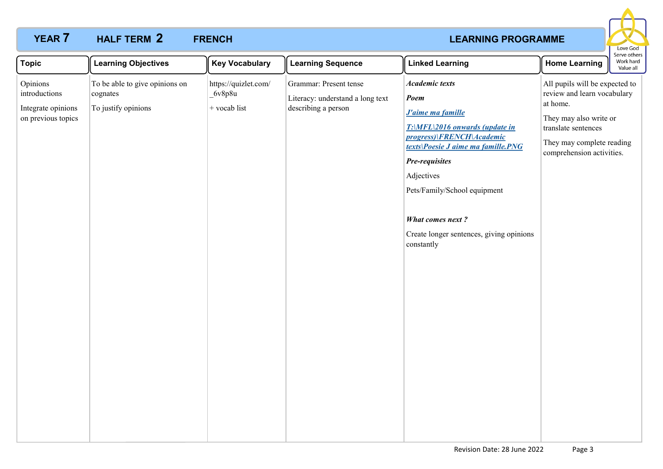### **YEAR 7 HALF TERM 2 FRENCH** *CONSUMER CONSUMER AND LEARNING PROGRAMME* **HALF TERM FRENCH 2**



| <b>Topic</b>                                                          | <b>Learning Objectives</b>                                        | <b>Key Vocabulary</b>                          | <b>Learning Sequence</b>                                                          | <b>Linked Learning</b>                                                                                                                                                                                                                                                                                                                       | <b>Home Learning</b>                                                                                                                                                                 | Work hard<br>Value all |
|-----------------------------------------------------------------------|-------------------------------------------------------------------|------------------------------------------------|-----------------------------------------------------------------------------------|----------------------------------------------------------------------------------------------------------------------------------------------------------------------------------------------------------------------------------------------------------------------------------------------------------------------------------------------|--------------------------------------------------------------------------------------------------------------------------------------------------------------------------------------|------------------------|
| Opinions<br>introductions<br>Integrate opinions<br>on previous topics | To be able to give opinions on<br>cognates<br>To justify opinions | https://quizlet.com/<br>6v8p8u<br>+ vocab list | Grammar: Present tense<br>Literacy: understand a long text<br>describing a person | <b>Academic texts</b><br>Poem<br><b>J'aime ma famille</b><br>$T: \langle MFL \rangle 2016$ onwards (update in<br>progress)\FRENCH\Academic<br>texts\Poesie J aime ma famille.PNG<br><b>Pre-requisites</b><br>Adjectives<br>Pets/Family/School equipment<br><b>What comes next?</b><br>Create longer sentences, giving opinions<br>constantly | All pupils will be expected to<br>review and learn vocabulary<br>at home.<br>They may also write or<br>translate sentences<br>They may complete reading<br>comprehension activities. |                        |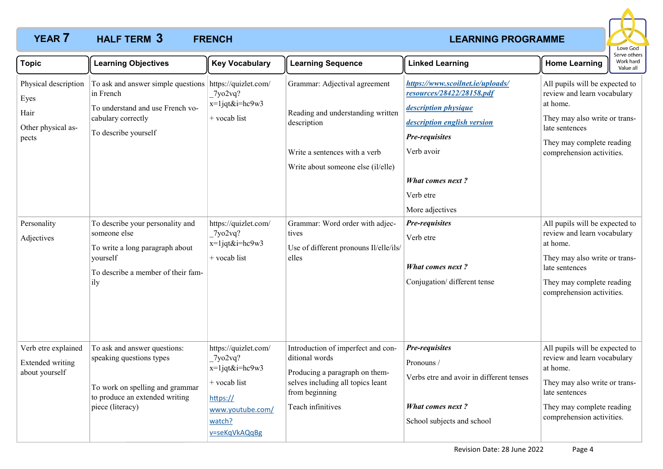## **YEAR 7 HALF TERM 3 FRENCH** *CONSUMER EXAMPLE EXAMPLE EXAMPLE EXAMPLE EXAMPLE EXAMPLE EXAMPLE EXAMPLE EXAMPLE EXAMPLE EXAMPLE EXAMPLE EXAMPLE EXAMPLE EXAMPLE EXAMPLE EXAMPLE EXAMPLE EXAMPLE EXAMPLE EXAMPLE EXAMPLE EXA* **HALF TERM FRENCH 3**



| <b>Topic</b>                                                                                     | <b>Learning Objectives</b>                                                                                                                                                                                                                                                                             | <b>Key Vocabulary</b>                                                                                                             | <b>Learning Sequence</b>                                                                                                                                                                                                                                | <b>Linked Learning</b>                                                                                                                                                                                                                                                                                    | <b>Home Learning</b>                                                                                                                                                                                                                                                                                                                                                             | Work hard<br>Value all |
|--------------------------------------------------------------------------------------------------|--------------------------------------------------------------------------------------------------------------------------------------------------------------------------------------------------------------------------------------------------------------------------------------------------------|-----------------------------------------------------------------------------------------------------------------------------------|---------------------------------------------------------------------------------------------------------------------------------------------------------------------------------------------------------------------------------------------------------|-----------------------------------------------------------------------------------------------------------------------------------------------------------------------------------------------------------------------------------------------------------------------------------------------------------|----------------------------------------------------------------------------------------------------------------------------------------------------------------------------------------------------------------------------------------------------------------------------------------------------------------------------------------------------------------------------------|------------------------|
| Physical description<br>Eyes<br>Hair<br>Other physical as-<br>pects<br>Personality<br>Adjectives | To ask and answer simple questions https://quizlet.com/<br>in French<br>To understand and use French vo-<br>cabulary correctly<br>To describe yourself<br>To describe your personality and<br>someone else<br>To write a long paragraph about<br>yourself<br>To describe a member of their fam-<br>ily | 7yo2vq?<br>x=1jqt&i=hc9w3<br>+ vocab list<br>https://quizlet.com/<br>7yo2vq?<br>$x=1$ jqt&i=hc9w3<br>$+$ vocab list               | Grammar: Adjectival agreement<br>Reading and understanding written<br>description<br>Write a sentences with a verb<br>Write about someone else (il/elle)<br>Grammar: Word order with adjec-<br>tives<br>Use of different pronouns Il/elle/ils/<br>elles | https://www.scoilnet.ie/uploads/<br>resources/28422/28158.pdf<br>description physique<br>description english version<br>Pre-requisites<br>Verb avoir<br><b>What comes next?</b><br>Verb etre<br>More adjectives<br>Pre-requisites<br>Verb etre<br><b>What comes next?</b><br>Conjugation/ different tense | All pupils will be expected to<br>review and learn vocabulary<br>at home.<br>They may also write or trans-<br>late sentences<br>They may complete reading<br>comprehension activities.<br>All pupils will be expected to<br>review and learn vocabulary<br>at home.<br>They may also write or trans-<br>late sentences<br>They may complete reading<br>comprehension activities. |                        |
| Verb etre explained<br><b>Extended writing</b><br>about yourself                                 | To ask and answer questions:<br>speaking questions types<br>To work on spelling and grammar<br>to produce an extended writing<br>piece (literacy)                                                                                                                                                      | https://quizlet.com/<br>7yo2vq?<br>$x=1$ jqt&i=hc9w3<br>$+$ vocab list<br>https://<br>www.youtube.com/<br>watch?<br>v=seKqVkAQqBg | Introduction of imperfect and con-<br>ditional words<br>Producing a paragraph on them-<br>selves including all topics leant<br>from beginning<br>Teach infinitives                                                                                      | Pre-requisites<br>Pronouns /<br>Verbs etre and avoir in different tenses<br><b>What comes next?</b><br>School subjects and school                                                                                                                                                                         | All pupils will be expected to<br>review and learn vocabulary<br>at home.<br>They may also write or trans-<br>late sentences<br>They may complete reading<br>comprehension activities.                                                                                                                                                                                           |                        |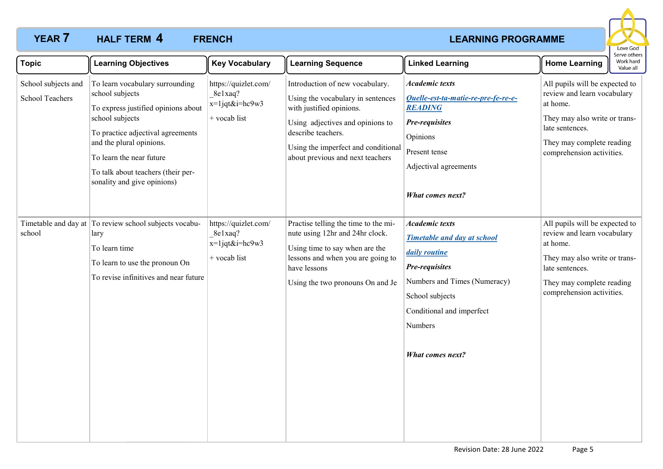## **YEAR 7 HALF TERM 4 FRENCH** *CONSUMER CONSUMER EXAMPLE AT A REARNING PROGRAMME* **HALF TERM FRENCH 4**



| <b>Topic</b>                                  | <b>Learning Objectives</b>                                                                                                                                                                                                                                                     | <b>Key Vocabulary</b>                                                | <b>Learning Sequence</b>                                                                                                                                                                                                              | <b>Linked Learning</b>                                                                                                                                                                                               | <b>Home Learning</b>                                                                                                                                                                    | serve other<br>Work hard<br>Value all |
|-----------------------------------------------|--------------------------------------------------------------------------------------------------------------------------------------------------------------------------------------------------------------------------------------------------------------------------------|----------------------------------------------------------------------|---------------------------------------------------------------------------------------------------------------------------------------------------------------------------------------------------------------------------------------|----------------------------------------------------------------------------------------------------------------------------------------------------------------------------------------------------------------------|-----------------------------------------------------------------------------------------------------------------------------------------------------------------------------------------|---------------------------------------|
| School subjects and<br><b>School Teachers</b> | To learn vocabulary surrounding<br>school subjects<br>To express justified opinions about<br>school subjects<br>To practice adjectival agreements<br>and the plural opinions.<br>To learn the near future<br>To talk about teachers (their per-<br>sonality and give opinions) | https://quizlet.com/<br>8e1xaq?<br>$x=1$ jqt&i=hc9w3<br>+ vocab list | Introduction of new vocabulary.<br>Using the vocabulary in sentences<br>with justified opinions.<br>Using adjectives and opinions to<br>describe teachers.<br>Using the imperfect and conditional<br>about previous and next teachers | <b>Academic texts</b><br>Quelle-est-ta-matie-re-pre-fe-re-e-<br><b>READING</b><br><b>Pre-requisites</b><br>Opinions<br>Present tense<br>Adjectival agreements<br>What comes next?                                    | All pupils will be expected to<br>review and learn vocabulary<br>at home.<br>They may also write or trans-<br>late sentences.<br>They may complete reading<br>comprehension activities. |                                       |
| school                                        | Timetable and day at To review school subjects vocabu-<br>lary<br>To learn time<br>To learn to use the pronoun On<br>To revise infinitives and near future                                                                                                                     | https://quizlet.com/<br>8e1xaq?<br>$x=1$ jqt&i=hc9w3<br>+ vocab list | Practise telling the time to the mi-<br>nute using 12hr and 24hr clock.<br>Using time to say when are the<br>lessons and when you are going to<br>have lessons<br>Using the two pronouns On and Je                                    | <b>Academic texts</b><br><b>Timetable and day at school</b><br>daily routine<br><b>Pre-requisites</b><br>Numbers and Times (Numeracy)<br>School subjects<br>Conditional and imperfect<br>Numbers<br>What comes next? | All pupils will be expected to<br>review and learn vocabulary<br>at home.<br>They may also write or trans-<br>late sentences.<br>They may complete reading<br>comprehension activities. |                                       |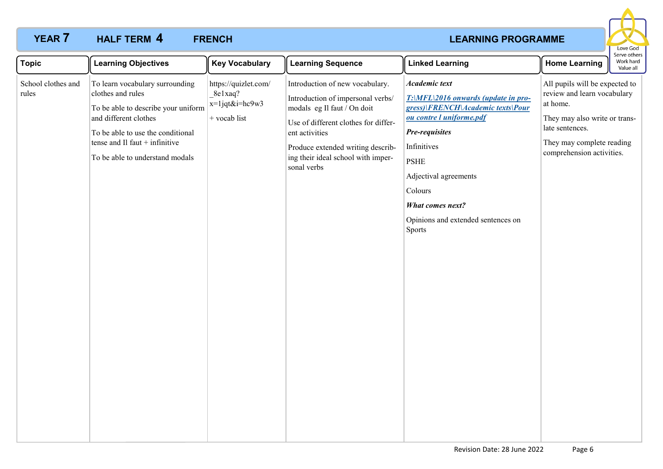# **YEAR 7 HALF TERM 4 FRENCH** *CONSUMER CONSUMER AND ACCOUNT ATTACHMENT CONSUMER ATTACHMENT CONSUMER AND LEARNING PROGRAMME* **HALF TERM FRENCH 4**



| <b>Topic</b>                | <b>Learning Objectives</b>                                                                                                                                                                                                       | <b>Key Vocabulary</b>                                                | <b>Learning Sequence</b>                                                                                                                                                                                                                                | <b>Linked Learning</b>                                                                                                                                                                                                                                                               | <b>Home Learning</b>                                                                                                                                                                    | Serve others<br>Work hard<br>Value all |
|-----------------------------|----------------------------------------------------------------------------------------------------------------------------------------------------------------------------------------------------------------------------------|----------------------------------------------------------------------|---------------------------------------------------------------------------------------------------------------------------------------------------------------------------------------------------------------------------------------------------------|--------------------------------------------------------------------------------------------------------------------------------------------------------------------------------------------------------------------------------------------------------------------------------------|-----------------------------------------------------------------------------------------------------------------------------------------------------------------------------------------|----------------------------------------|
| School clothes and<br>rules | To learn vocabulary surrounding<br>clothes and rules<br>To be able to describe your uniform<br>and different clothes<br>To be able to use the conditional<br>tense and Il faut $+$ infinitive<br>To be able to understand modals | https://quizlet.com/<br>8e1xaq?<br>$x=1$ jqt&i=hc9w3<br>+ vocab list | Introduction of new vocabulary.<br>Introduction of impersonal verbs/<br>modals eg Il faut / On doit<br>Use of different clothes for differ-<br>ent activities<br>Produce extended writing describ-<br>ing their ideal school with imper-<br>sonal verbs | Academic text<br>T:\MFL\2016 onwards (update in pro-<br>gress)\FRENCH\Academic texts\Pour<br>ou contre l uniforme.pdf<br>Pre-requisites<br>Infinitives<br><b>PSHE</b><br>Adjectival agreements<br>Colours<br><b>What comes next?</b><br>Opinions and extended sentences on<br>Sports | All pupils will be expected to<br>review and learn vocabulary<br>at home.<br>They may also write or trans-<br>late sentences.<br>They may complete reading<br>comprehension activities. |                                        |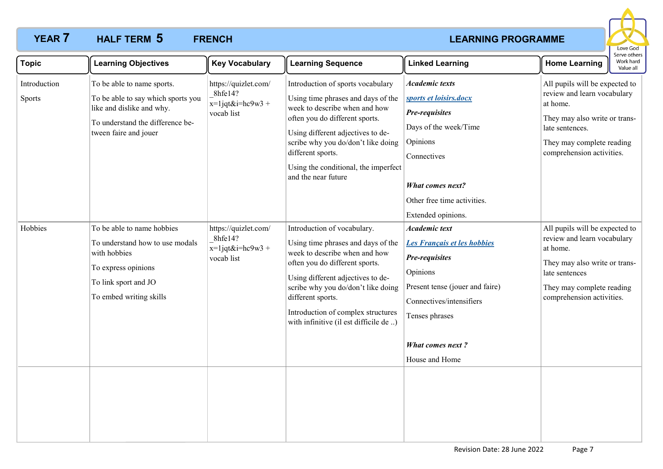## **YEAR 7 HALF TERM 5 FRENCH** *CONSUMER EXAMPLE EXAMPLE EXAMPLE EXAMPLE EXAMPLE EXAMPLE EXAMPLE EXAMPLE EXAMPLE EXAMPLE EXAMPLE EXAMPLE EXAMPLE EXAMPLE EXAMPLE EXAMPLE EXAMPLE EXAMPLE EXAMPLE EXAMPLE EXAMPLE EXAMPLE EXA* **HALF TERM FRENCH 5**



| <b>Topic</b>           | <b>Learning Objectives</b>                                                                                                                                 | <b>Key Vocabulary</b>                                                | <b>Learning Sequence</b>                                                                                                                                                                                                                                                                                            | <b>Linked Learning</b>                                                                                                                                                                                          | בו עם טנוופו:<br>Work hard<br><b>Home Learning</b><br>Value all                                                                                                                         |
|------------------------|------------------------------------------------------------------------------------------------------------------------------------------------------------|----------------------------------------------------------------------|---------------------------------------------------------------------------------------------------------------------------------------------------------------------------------------------------------------------------------------------------------------------------------------------------------------------|-----------------------------------------------------------------------------------------------------------------------------------------------------------------------------------------------------------------|-----------------------------------------------------------------------------------------------------------------------------------------------------------------------------------------|
| Introduction<br>Sports | To be able to name sports.<br>To be able to say which sports you<br>like and dislike and why.<br>To understand the difference be-<br>tween faire and jouer | https://quizlet.com/<br>8hfe14?<br>$x=1$ jqt&i=hc9w3 +<br>vocab list | Introduction of sports vocabulary<br>Using time phrases and days of the<br>week to describe when and how<br>often you do different sports.<br>Using different adjectives to de-<br>scribe why you do/don't like doing<br>different sports.<br>Using the conditional, the imperfect<br>and the near future           | <b>Academic texts</b><br>sports et loisirs.docx<br>Pre-requisites<br>Days of the week/Time<br>Opinions<br>Connectives<br><b>What comes next?</b><br>Other free time activities.<br>Extended opinions.           | All pupils will be expected to<br>review and learn vocabulary<br>at home.<br>They may also write or trans-<br>late sentences.<br>They may complete reading<br>comprehension activities. |
| Hobbies                | To be able to name hobbies<br>To understand how to use modals<br>with hobbies<br>To express opinions<br>To link sport and JO<br>To embed writing skills    | https://quizlet.com/<br>8hfe14?<br>$x=1$ jqt&i=hc9w3 +<br>vocab list | Introduction of vocabulary.<br>Using time phrases and days of the<br>week to describe when and how<br>often you do different sports.<br>Using different adjectives to de-<br>scribe why you do/don't like doing<br>different sports.<br>Introduction of complex structures<br>with infinitive (il est difficile de) | <b>Academic text</b><br>Les Français et les hobbies<br>Pre-requisites<br>Opinions<br>Present tense (jouer and faire)<br>Connectives/intensifiers<br>Tenses phrases<br><b>What comes next?</b><br>House and Home | All pupils will be expected to<br>review and learn vocabulary<br>at home.<br>They may also write or trans-<br>late sentences<br>They may complete reading<br>comprehension activities.  |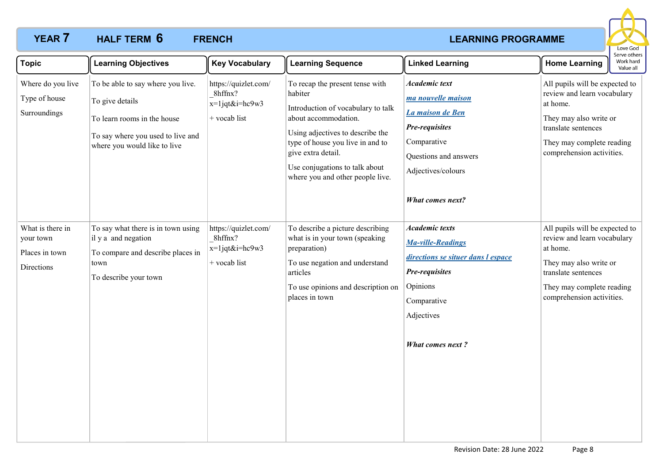## **YEAR 7 HALF TERM 6 FRENCH** *CONSUMER EXAMPLE EXAMPLE EXAMPLE EXAMPLE EXAMPLE EXAMPLE EXAMPLE EXAMPLE EXAMPLE EXAMPLE EXAMPLE EXAMPLE EXAMPLE EXAMPLE EXAMPLE EXAMPLE EXAMPLE EXAMPLE EXAMPLE EXAMPLE EXAMPLE EXAMPLE EXA* **HALF TERM FRENCH 6**



| <b>Topic</b>                                                  | <b>Learning Objectives</b>                                                                                                                               | <b>Key Vocabulary</b>                                                | <b>Learning Sequence</b>                                                                                                                                                                                                                                                     | <b>Linked Learning</b>                                                                                                                                                    | <b>Home Learning</b>                                                                                                                                                                 | Serve others<br>Work hard<br>Value all |
|---------------------------------------------------------------|----------------------------------------------------------------------------------------------------------------------------------------------------------|----------------------------------------------------------------------|------------------------------------------------------------------------------------------------------------------------------------------------------------------------------------------------------------------------------------------------------------------------------|---------------------------------------------------------------------------------------------------------------------------------------------------------------------------|--------------------------------------------------------------------------------------------------------------------------------------------------------------------------------------|----------------------------------------|
| Where do you live<br>Type of house<br>Surroundings            | To be able to say where you live.<br>To give details<br>To learn rooms in the house<br>To say where you used to live and<br>where you would like to live | https://quizlet.com/<br>8hffnx?<br>$x=1$ jqt&i=hc9w3<br>+ vocab list | To recap the present tense with<br>habiter<br>Introduction of vocabulary to talk<br>about accommodation.<br>Using adjectives to describe the<br>type of house you live in and to<br>give extra detail.<br>Use conjugations to talk about<br>where you and other people live. | <b>Academic text</b><br>ma nouvelle maison<br>La maison de Ben<br>Pre-requisites<br>Comparative<br>Questions and answers<br>Adjectives/colours<br><b>What comes next?</b> | All pupils will be expected to<br>review and learn vocabulary<br>at home.<br>They may also write or<br>translate sentences<br>They may complete reading<br>comprehension activities. |                                        |
| What is there in<br>your town<br>Places in town<br>Directions | To say what there is in town using<br>il y a and negation<br>To compare and describe places in<br>town<br>To describe your town                          | https://quizlet.com/<br>8hffnx?<br>$x=1$ jqt&i=hc9w3<br>+ vocab list | To describe a picture describing<br>what is in your town (speaking<br>preparation)<br>To use negation and understand<br>articles<br>To use opinions and description on<br>places in town                                                                                     | <b>Academic texts</b><br>Ma-ville-Readings<br>directions se situer dans l espace<br>Pre-requisites<br>Opinions<br>Comparative<br>Adjectives<br><b>What comes next?</b>    | All pupils will be expected to<br>review and learn vocabulary<br>at home.<br>They may also write or<br>translate sentences<br>They may complete reading<br>comprehension activities. |                                        |